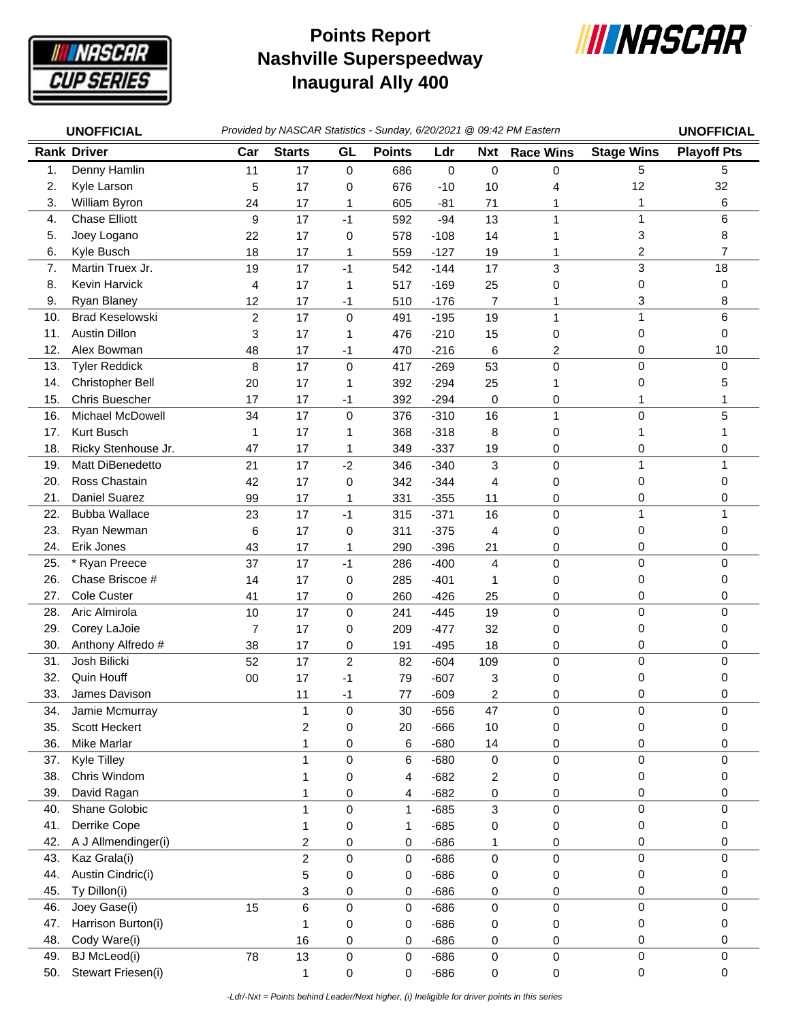

## **Nashville Superspeedway Inaugural Ally 400 Points Report**



|     | <b>UNOFFICIAL</b>      |                |                 |                  |               |        |                         | Provided by NASCAR Statistics - Sunday, 6/20/2021 @ 09:42 PM Eastern |                   | <b>UNOFFICIAL</b>  |
|-----|------------------------|----------------|-----------------|------------------|---------------|--------|-------------------------|----------------------------------------------------------------------|-------------------|--------------------|
|     | <b>Rank Driver</b>     | Car            | <b>Starts</b>   | GL               | <b>Points</b> | Ldr    | <b>Nxt</b>              | <b>Race Wins</b>                                                     | <b>Stage Wins</b> | <b>Playoff Pts</b> |
| 1.  | Denny Hamlin           | 11             | 17              | $\mathbf 0$      | 686           | 0      | 0                       | 0                                                                    | 5                 | 5                  |
| 2.  | Kyle Larson            | 5              | 17              | 0                | 676           | $-10$  | 10                      | 4                                                                    | 12                | 32                 |
| 3.  | William Byron          | 24             | 17              | 1                | 605           | $-81$  | 71                      | 1                                                                    | 1                 | 6                  |
| 4.  | <b>Chase Elliott</b>   | 9              | 17              | $-1$             | 592           | $-94$  | 13                      | $\mathbf{1}$                                                         | $\mathbf{1}$      | 6                  |
| 5.  | Joey Logano            | 22             | 17              | 0                | 578           | $-108$ | 14                      | 1                                                                    | 3                 | 8                  |
| 6.  | Kyle Busch             | 18             | 17              | $\mathbf{1}$     | 559           | $-127$ | 19                      | 1                                                                    | 2                 | $\overline{7}$     |
| 7.  | Martin Truex Jr.       | 19             | 17              | $-1$             | 542           | $-144$ | 17                      | 3                                                                    | 3                 | 18                 |
| 8.  | Kevin Harvick          | 4              | 17              | 1                | 517           | $-169$ | 25                      | 0                                                                    | $\pmb{0}$         | 0                  |
| 9.  | Ryan Blaney            | 12             | 17              | $-1$             | 510           | $-176$ | 7                       | 1                                                                    | 3                 | 8                  |
| 10. | <b>Brad Keselowski</b> | $\overline{c}$ | 17              | $\pmb{0}$        | 491           | $-195$ | 19                      | $\mathbf{1}$                                                         | $\mathbf{1}$      | 6                  |
| 11. | <b>Austin Dillon</b>   | 3              | 17              | 1                | 476           | $-210$ | 15                      | 0                                                                    | 0                 | 0                  |
| 12. | Alex Bowman            | 48             | 17              | $-1$             | 470           | $-216$ | 6                       | 2                                                                    | 0                 | 10                 |
| 13. | <b>Tyler Reddick</b>   | 8              | 17              | 0                | 417           | $-269$ | 53                      | 0                                                                    | 0                 | 0                  |
| 14. | Christopher Bell       | 20             | 17              | $\mathbf{1}$     | 392           | $-294$ | 25                      | 1                                                                    | 0                 | 5                  |
| 15. | Chris Buescher         | 17             | 17              | $-1$             | 392           | $-294$ | 0                       | 0                                                                    |                   |                    |
| 16. | Michael McDowell       | 34             | 17              | $\mathbf 0$      | 376           | $-310$ | 16                      | $\mathbf{1}$                                                         | 0                 | 5                  |
| 17. | Kurt Busch             | 1              | 17              | 1                | 368           | $-318$ | 8                       | 0                                                                    | 1                 |                    |
| 18. | Ricky Stenhouse Jr.    | 47             | 17              | 1                | 349           | $-337$ | 19                      | 0                                                                    | 0                 | 0                  |
| 19. | Matt DiBenedetto       | 21             | 17              | $-2$             | 346           | $-340$ | 3                       | 0                                                                    | 1                 | 1                  |
| 20. | Ross Chastain          | 42             | 17              | 0                | 342           | $-344$ | 4                       | 0                                                                    | 0                 | 0                  |
| 21. | Daniel Suarez          | 99             | 17              | 1                | 331           | $-355$ | 11                      | 0                                                                    | 0                 | 0                  |
| 22. | <b>Bubba Wallace</b>   | 23             | 17              | $-1$             | 315           | $-371$ | 16                      | 0                                                                    | $\mathbf{1}$      | 1                  |
| 23. | Ryan Newman            | 6              | 17              | 0                | 311           | $-375$ | 4                       | 0                                                                    | 0                 | 0                  |
| 24. | Erik Jones             | 43             | 17              | 1                | 290           | $-396$ | 21                      | 0                                                                    | 0                 | 0                  |
| 25. | * Ryan Preece          | 37             | 17              | $-1$             | 286           | $-400$ | $\overline{\mathbf{4}}$ | $\mathsf 0$                                                          | 0                 | 0                  |
| 26. | Chase Briscoe #        | 14             | 17              | 0                | 285           | $-401$ | 1                       | 0                                                                    | 0                 | 0                  |
| 27. | Cole Custer            | 41             | 17              | 0                | 260           | $-426$ | 25                      | 0                                                                    | 0                 | 0                  |
| 28. | Aric Almirola          | 10             | 17              | 0                | 241           | $-445$ | 19                      | 0                                                                    | 0                 | $\Omega$           |
| 29. | Corey LaJoie           | $\overline{7}$ | 17              | 0                | 209           | $-477$ | 32                      | 0                                                                    | 0                 | 0                  |
| 30. | Anthony Alfredo #      | 38             | 17              | 0                | 191           | $-495$ | 18                      | 0                                                                    | 0                 | 0                  |
| 31. | Josh Bilicki           | 52             | 17              | $\boldsymbol{2}$ | 82            | $-604$ | 109                     | $\mathsf 0$                                                          | $\mathbf 0$       | $\Omega$           |
| 32. | Quin Houff             | 00             | 17              | $-1$             | 79            | $-607$ | 3                       | 0                                                                    | 0                 |                    |
| 33. | James Davison          |                | 11              | -1               | 77            | $-609$ | 2                       | 0                                                                    | 0                 | 0                  |
| 34. | Jamie Mcmurray         |                | 1               | 0                | 30            | $-656$ | 47                      | 0                                                                    | 0                 | 0                  |
| 35. | Scott Heckert          |                | $\overline{c}$  | 0                | 20            | $-666$ | 10                      | 0                                                                    | 0                 | 0                  |
| 36. | <b>Mike Marlar</b>     |                | 1               | 0                | 6             | $-680$ | 14                      | 0                                                                    | 0                 | 0                  |
| 37. | Kyle Tilley            |                | 1               | 0                | 6             | $-680$ | $\mathbf 0$             | $\pmb{0}$                                                            | 0                 | $\mathbf 0$        |
| 38. | Chris Windom           |                |                 | 0                | 4             | $-682$ | 2                       | 0                                                                    | 0                 | 0                  |
| 39. | David Ragan            |                |                 | 0                | 4             | $-682$ | 0                       | 0                                                                    | 0                 | 0                  |
| 40. | Shane Golobic          |                | 1               | $\mathsf 0$      | $\mathbf 1$   | $-685$ | 3                       | 0                                                                    | $\mathbf 0$       | $\Omega$           |
| 41. | Derrike Cope           |                | 1               | $\pmb{0}$        | 1             | $-685$ | 0                       | 0                                                                    | 0                 | 0                  |
| 42. | A J Allmendinger(i)    |                | 2               | 0                | 0             | $-686$ | 1                       | 0                                                                    | 0                 | 0                  |
| 43. | Kaz Grala(i)           |                | $\overline{c}$  | 0                | 0             | $-686$ | 0                       | $\pmb{0}$                                                            | 0                 | 0                  |
| 44. | Austin Cindric(i)      |                | 5               | 0                | 0             | $-686$ | 0                       | 0                                                                    | 0                 | 0                  |
| 45. | Ty Dillon(i)           |                | 3               | 0                | 0             | $-686$ | 0                       | 0                                                                    | 0                 | 0                  |
| 46. | Joey Gase(i)           | 15             | $6\phantom{1}6$ | 0                | 0             | $-686$ | 0                       | $\mathsf 0$                                                          | $\pmb{0}$         | $\mathbf 0$        |
| 47. | Harrison Burton(i)     |                | 1               | 0                | 0             | $-686$ | 0                       | 0                                                                    | 0                 | 0                  |
| 48. | Cody Ware(i)           |                | 16              | $\pmb{0}$        | 0             | $-686$ | 0                       | 0                                                                    | $\pmb{0}$         | 0                  |
| 49. | <b>BJ</b> McLeod(i)    | 78             | 13              | 0                | $\mathsf 0$   | $-686$ | 0                       | $\mathsf 0$                                                          | $\pmb{0}$         | 0                  |
| 50. | Stewart Friesen(i)     |                | 1               | $\mathsf 0$      | 0             | $-686$ | 0                       | 0                                                                    | $\pmb{0}$         | 0                  |